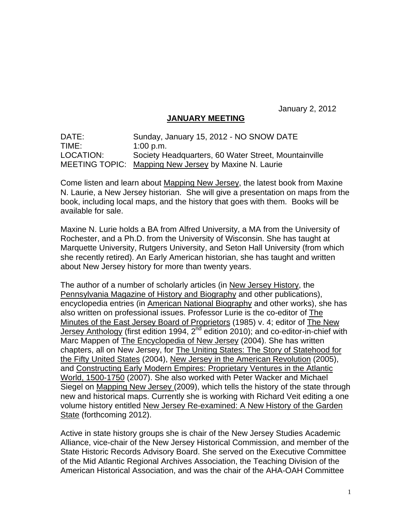January 2, 2012

# **JANUARY MEETING**

DATE: Sunday, January 15, 2012 - NO SNOW DATE TIME: 1:00 p.m. LOCATION: Society Headquarters, 60 Water Street, Mountainville MEETING TOPIC: Mapping New Jersey by Maxine N. Laurie

Come listen and learn about Mapping New Jersey, the latest book from Maxine N. Laurie, a New Jersey historian. She will give a presentation on maps from the book, including local maps, and the history that goes with them. Books will be available for sale.

Maxine N. Lurie holds a BA from Alfred University, a MA from the University of Rochester, and a Ph.D. from the University of Wisconsin. She has taught at Marquette University, Rutgers University, and Seton Hall University (from which she recently retired). An Early American historian, she has taught and written about New Jersey history for more than twenty years.

The author of a number of scholarly articles (in New Jersey History, the Pennsylvania Magazine of History and Biography and other publications), encyclopedia entries (in American National Biography and other works), she has also written on professional issues. Professor Lurie is the co-editor of The Minutes of the East Jersey Board of Proprietors (1985) v. 4; editor of The New Jersey Anthology (first edition 1994, 2<sup>nd</sup> edition 2010); and co-editor-in-chief with Marc Mappen of The Encyclopedia of New Jersey (2004). She has written chapters, all on New Jersey, for The Uniting States: The Story of Statehood for the Fifty United States (2004), New Jersey in the American Revolution (2005), and Constructing Early Modern Empires: Proprietary Ventures in the Atlantic World, 1500-1750 (2007). She also worked with Peter Wacker and Michael Siegel on Mapping New Jersey (2009), which tells the history of the state through new and historical maps. Currently she is working with Richard Veit editing a one volume history entitled New Jersey Re-examined: A New History of the Garden State (forthcoming 2012).

Active in state history groups she is chair of the New Jersey Studies Academic Alliance, vice-chair of the New Jersey Historical Commission, and member of the State Historic Records Advisory Board. She served on the Executive Committee of the Mid Atlantic Regional Archives Association, the Teaching Division of the American Historical Association, and was the chair of the AHA-OAH Committee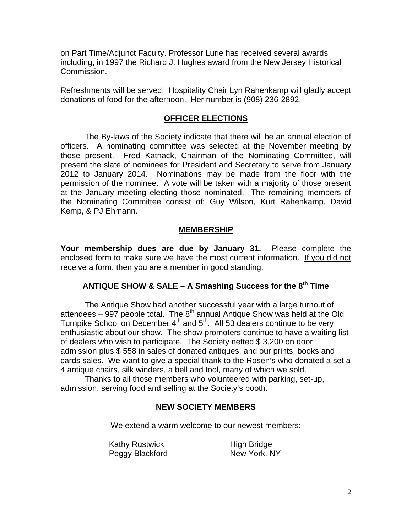on Part Time/Adjunct Faculty. Professor Lurie has received several awards including, in 1997 the Richard J. Hughes award from the New Jersey Historical Commission.

Refreshments will be served. Hospitality Chair Lyn Rahenkamp will gladly accept donations of food for the afternoon. Her number is (908) 236-2892.

# **OFFICER ELECTIONS**

The By-laws of the Society indicate that there will be an annual election of officers. A nominating committee was selected at the November meeting by those present. Fred Katnack, Chairman of the Nominating Committee, will present the slate of nominees for President and Secretary to serve from January 2012 to January 2014. Nominations may be made from the floor with the permission of the nominee. A vote will be taken with a majority of those present at the January meeting electing those nominated. The remaining members of the Nominating Committee consist of: Guy Wilson, Kurt Rahenkamp, David Kemp, & PJ Ehmann.

# **MEMBERSHIP**

**Your membership dues are due by January 31.** Please complete the enclosed form to make sure we have the most current information. If you did not receive a form, then you are a member in good standing.

# ANTIQUE SHOW & SALE – A Smashing Success for the 8<sup>th</sup> Time

The Antique Show had another successful year with a large turnout of attendees – 997 people total. The  $8<sup>th</sup>$  annual Antique Show was held at the Old Turnpike School on December 4<sup>th</sup> and 5<sup>th</sup>. All 53 dealers continue to be very enthusiastic about our show. The show promoters continue to have a waiting list of dealers who wish to participate. The Society netted \$ 3,200 on door admission plus \$ 558 in sales of donated antiques, and our prints, books and cards sales. We want to give a special thank to the Rosen's who donated a set a 4 antique chairs, silk winders, a bell and tool, many of which we sold.

Thanks to all those members who volunteered with parking, set-up, admission, serving food and selling at the Society's booth.

# **NEW SOCIETY MEMBERS**

We extend a warm welcome to our newest members:

Kathy Rustwick High Bridge Peggy Blackford New York, NY